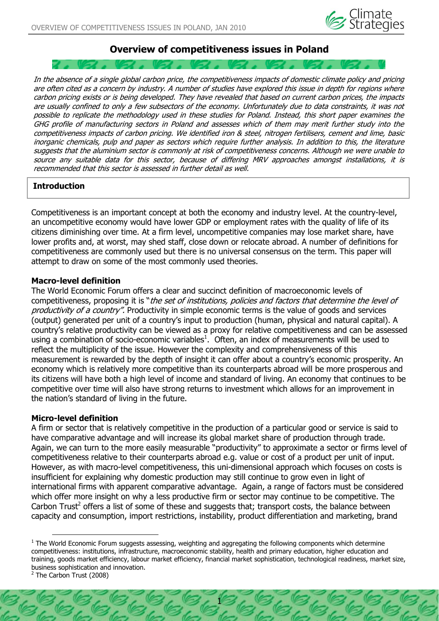

# **Overview of competitiveness issues in Poland**

In the absence of a single global carbon price, the competitiveness impacts of domestic climate policy and pricing are often cited as a concern by industry. A number of studies have explored this issue in depth for regions where carbon pricing exists or is being developed. They have revealed that based on current carbon prices, the impacts are usually confined to only a few subsectors of the economy. Unfortunately due to data constraints, it was not possible to replicate the methodology used in these studies for Poland. Instead, this short paper examines the GHG profile of manufacturing sectors in Poland and assesses which of them may merit further study into the competitiveness impacts of carbon pricing. We identified iron & steel, nitrogen fertilisers, cement and lime, basic inorganic chemicals, pulp and paper as sectors which require further analysis. In addition to this, the literature suggests that the aluminium sector is commonly at risk of competitiveness concerns. Although we were unable to source any suitable data for this sector, because of differing MRV approaches amongst installations, it is recommended that this sector is assessed in further detail as well.

## **Introduction**

Competitiveness is an important concept at both the economy and industry level. At the country-level, an uncompetitive economy would have lower GDP or employment rates with the quality of life of its citizens diminishing over time. At a firm level, uncompetitive companies may lose market share, have lower profits and, at worst, may shed staff, close down or relocate abroad. A number of definitions for competitiveness are commonly used but there is no universal consensus on the term. This paper will attempt to draw on some of the most commonly used theories.

#### **Macro-level definition**

The World Economic Forum offers a clear and succinct definition of macroeconomic levels of competitiveness, proposing it is "the set of institutions, policies and factors that determine the level of productivity of a country". Productivity in simple economic terms is the value of goods and services (output) generated per unit of a country's input to production (human, physical and natural capital). A country's relative productivity can be viewed as a proxy for relative competitiveness and can be assessed using a combination of socio-economic variables<sup>1</sup>. Often, an index of measurements will be used to reflect the multiplicity of the issue. However the complexity and comprehensiveness of this measurement is rewarded by the depth of insight it can offer about a country's economic prosperity. An economy which is relatively more competitive than its counterparts abroad will be more prosperous and its citizens will have both a high level of income and standard of living. An economy that continues to be competitive over time will also have strong returns to investment which allows for an improvement in the nation's standard of living in the future.

#### **Micro-level definition**

A firm or sector that is relatively competitive in the production of a particular good or service is said to have comparative advantage and will increase its global market share of production through trade. Again, we can turn to the more easily measurable "productivity" to approximate a sector or firms level of competitiveness relative to their counterparts abroad e.g. value or cost of a product per unit of input. However, as with macro-level competitiveness, this uni-dimensional approach which focuses on costs is insufficient for explaining why domestic production may still continue to grow even in light of international firms with apparent comparative advantage. Again, a range of factors must be considered which offer more insight on why a less productive firm or sector may continue to be competitive. The Carbon Trust<sup>2</sup> offers a list of some of these and suggests that; transport costs, the balance between capacity and consumption, import restrictions, instability, product differentiation and marketing, brand

1

 $<sup>1</sup>$  The World Economic Forum suggests assessing, weighting and aggregating the following components which determine</sup> competitiveness: institutions, infrastructure, macroeconomic stability, health and primary education, higher education and training, goods market efficiency, labour market efficiency, financial market sophistication, technological readiness, market size, business sophistication and innovation.

 $<sup>2</sup>$  The Carbon Trust (2008)</sup>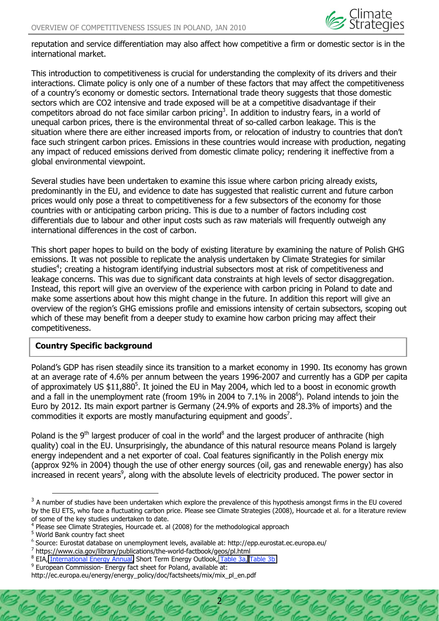

reputation and service differentiation may also affect how competitive a firm or domestic sector is in the international market.

This introduction to competitiveness is crucial for understanding the complexity of its drivers and their interactions. Climate policy is only one of a number of these factors that may affect the competitiveness of a country's economy or domestic sectors. International trade theory suggests that those domestic sectors which are CO2 intensive and trade exposed will be at a competitive disadvantage if their competitors abroad do not face similar carbon pricing<sup>3</sup>. In addition to industry fears, in a world of unequal carbon prices, there is the environmental threat of so-called carbon leakage. This is the situation where there are either increased imports from, or relocation of industry to countries that don't face such stringent carbon prices. Emissions in these countries would increase with production, negating any impact of reduced emissions derived from domestic climate policy; rendering it ineffective from a global environmental viewpoint.

Several studies have been undertaken to examine this issue where carbon pricing already exists, predominantly in the EU, and evidence to date has suggested that realistic current and future carbon prices would only pose a threat to competitiveness for a few subsectors of the economy for those countries with or anticipating carbon pricing. This is due to a number of factors including cost differentials due to labour and other input costs such as raw materials will frequently outweigh any international differences in the cost of carbon.

This short paper hopes to build on the body of existing literature by examining the nature of Polish GHG emissions. It was not possible to replicate the analysis undertaken by Climate Strategies for similar studies<sup>4</sup>; creating a histogram identifying industrial subsectors most at risk of competitiveness and leakage concerns. This was due to significant data constraints at high levels of sector disaggregation. Instead, this report will give an overview of the experience with carbon pricing in Poland to date and make some assertions about how this might change in the future. In addition this report will give an overview of the region's GHG emissions profile and emissions intensity of certain subsectors, scoping out which of these may benefit from a deeper study to examine how carbon pricing may affect their competitiveness.

# **Country Specific background**

Poland's GDP has risen steadily since its transition to a market economy in 1990. Its economy has grown at an average rate of 4.6% per annum between the years 1996-2007 and currently has a GDP per capita of approximately US  $$11,880^5$ . It joined the EU in May 2004, which led to a boost in economic growth and a fall in the unemployment rate (froom 19% in 2004 to 7.1% in 2008 $^{\circ}$ ). Poland intends to join the Euro by 2012. Its main export partner is Germany (24.9% of exports and 28.3% of imports) and the commodities it exports are mostly manufacturing equipment and goods<sup>7</sup>.

Poland is the  $9<sup>th</sup>$  largest producer of coal in the world<sup>8</sup> and the largest producer of anthracite (high quality) coal in the EU. Unsurprisingly, the abundance of this natural resource means Poland is largely energy independent and a net exporter of coal. Coal features significantly in the Polish energy mix (approx 92% in 2004) though the use of other energy sources (oil, gas and renewable energy) has also increased in recent years<sup>9</sup>, along with the absolute levels of electricity produced. The power sector in

2

 $3$  A number of studies have been undertaken which explore the prevalence of this hypothesis amongst firms in the EU covered by the EU ETS, who face a fluctuating carbon price. Please see Climate Strategies (2008), Hourcade et al. for a literature review of some of the key studies undertaken to date.

<sup>&</sup>lt;sup>4</sup> Please see Climate Strategies, Hourcade et. al (2008) for the methodological approach

<sup>5</sup> World Bank country fact sheet

<sup>&</sup>lt;sup>6</sup> Source: Eurostat database on unemployment levels, available at: http://epp.eurostat.ec.europa.eu/

 $7$  https://www.cia.gov/library/publications/the-world-factbook/geos/pl.html

<sup>&</sup>lt;sup>8</sup> EIA, [International Energy Annual,](http://www.eia.doe.gov/iea/) Short Term Energy Outlook, [Table 3a,](http://tonto.eia.doe.gov/cfapps/STEO_Query/steotables.cfm?periodType=Annual&startYear=2004&startMonth=1&endYear=2008&endMonth=12&tableNumber=6) [Table 3b](http://tonto.eia.doe.gov/cfapps/STEO_Query/steotables.cfm?periodType=Annual&startYear=2004&startQuarter=1&startMonth=1&endYear=2008&endQuarter=4&endMonth=12&tableNumber=29)

 $9$  European Commission- Energy fact sheet for Poland, available at:

http://ec.europa.eu/energy/energy\_policy/doc/factsheets/mix/mix\_pl\_en.pdf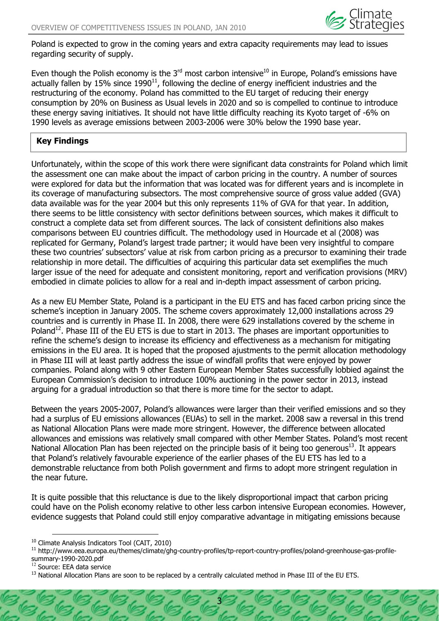

Poland is expected to grow in the coming years and extra capacity requirements may lead to issues regarding security of supply.

Even though the Polish economy is the  $3<sup>rd</sup>$  most carbon intensive<sup>10</sup> in Europe, Poland's emissions have actually fallen by 15% since 1990<sup>11</sup>, following the decline of energy inefficient industries and the restructuring of the economy. Poland has committed to the EU target of reducing their energy consumption by 20% on Business as Usual levels in 2020 and so is compelled to continue to introduce these energy saving initiatives. It should not have little difficulty reaching its Kyoto target of -6% on 1990 levels as average emissions between 20032006 were 30% below the 1990 base year.

# **Key Findings**

Unfortunately, within the scope of this work there were significant data constraints for Poland which limit the assessment one can make about the impact of carbon pricing in the country. A number of sources were explored for data but the information that was located was for different years and is incomplete in its coverage of manufacturing subsectors. The most comprehensive source of gross value added (GVA) data available was for the year 2004 but this only represents 11% of GVA for that year. In addition, there seems to be little consistency with sector definitions between sources, which makes it difficult to construct a complete data set from different sources. The lack of consistent definitions also makes comparisons between EU countries difficult. The methodology used in Hourcade et al (2008) was replicated for Germany, Poland's largest trade partner; it would have been very insightful to compare these two countries' subsectors' value at risk from carbon pricing as a precursor to examining their trade relationship in more detail. The difficulties of acquiring this particular data set exemplifies the much larger issue of the need for adequate and consistent monitoring, report and verification provisions (MRV) embodied in climate policies to allow for a real and in-depth impact assessment of carbon pricing.

As a new EU Member State, Poland is a participant in the EU ETS and has faced carbon pricing since the scheme's inception in January 2005. The scheme covers approximately 12,000 installations across 29 countries and is currently in Phase II. In 2008, there were 629 installations covered by the scheme in Poland<sup>12</sup>. Phase III of the EU ETS is due to start in 2013. The phases are important opportunities to refine the scheme's design to increase its efficiency and effectiveness as a mechanism for mitigating emissions in the EU area. It is hoped that the proposed ajustments to the permit allocation methodology in Phase III will at least partly address the issue of windfall profits that were enjoyed by power companies. Poland along with 9 other Eastern European Member States successfully lobbied against the European Commission's decision to introduce 100% auctioning in the power sector in 2013, instead arguing for a gradual introduction so that there is more time for the sector to adapt.

Between the years 2005-2007, Poland's allowances were larger than their verified emissions and so they had a surplus of EU emissions allowances (EUAs) to sell in the market. 2008 saw a reversal in this trend as National Allocation Plans were made more stringent. However, the difference between allocated allowances and emissions was relatively small compared with other Member States. Poland's most recent National Allocation Plan has been rejected on the principle basis of it being too generous $^{13}$ . It appears that Poland's relatively favourable experience of the earlier phases of the EU ETS has led to a demonstrable reluctance from both Polish government and firms to adopt more stringent regulation in the near future.

It is quite possible that this reluctance is due to the likely disproportional impact that carbon pricing could have on the Polish economy relative to other less carbon intensive European economies. However, evidence suggests that Poland could still enjoy comparative advantage in mitigating emissions because

3

<sup>10</sup> Climate Analysis Indicators Tool (CAIT, 2010)

<sup>&</sup>lt;sup>11</sup> http://www.eea.europa.eu/themes/climate/ghg-country-profiles/tp-report-country-profiles/poland-greenhouse-gas-profilesummary-1990-2020.pdf<br><sup>12</sup> Source: EEA data service

 $13$  National Allocation Plans are soon to be replaced by a centrally calculated method in Phase III of the EU ETS.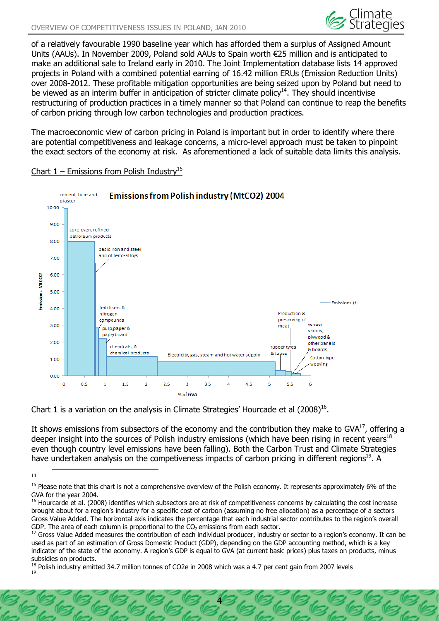

of a relatively favourable 1990 baseline year which has afforded them a surplus of Assigned Amount Units (AAUs). In November 2009, Poland sold AAUs to Spain worth €25 million and is anticipated to make an additional sale to Ireland early in 2010. The Joint Implementation database lists 14 approved projects in Poland with a combined potential earning of 16.42 million ERUs (Emission Reduction Units) over 2008-2012. These profitable mitigation opportunities are being seized upon by Poland but need to be viewed as an interim buffer in anticipation of stricter climate policy<sup>14</sup>. They should incentivise restructuring of production practices in a timely manner so that Poland can continue to reap the benefits of carbon pricing through low carbon technologies and production practices.

The macroeconomic view of carbon pricing in Poland is important but in order to identify where there are potential competitiveness and leakage concerns, a micro-level approach must be taken to pinpoint the exact sectors of the economy at risk. As aforementioned a lack of suitable data limits this analysis.



#### Chart  $1$  – Emissions from Polish Industry<sup>15</sup>

Chart 1 is a variation on the analysis in Climate Strategies' Hourcade et al  $(2008)^{16}$ .

It shows emissions from subsectors of the economy and the contribution they make to GVA $^{17}$ , offering a deeper insight into the sources of Polish industry emissions (which have been rising in recent years<sup>18</sup> even though country level emissions have been falling). Both the Carbon Trust and Climate Strategies have undertaken analysis on the competiveness impacts of carbon pricing in different regions<sup>19</sup>. A

4

 $\frac{14}{14}$ 

<sup>&</sup>lt;sup>15</sup> Please note that this chart is not a comprehensive overview of the Polish economy. It represents approximately 6% of the GVA for the year 2004.

<sup>&</sup>lt;sup>16</sup> Hourcarde et al. (2008) identifies which subsectors are at risk of competitiveness concerns by calculating the cost increase brought about for a region's industry for a specific cost of carbon (assuming no free allocation) as a percentage of a sectors Gross Value Added. The horizontal axis indicates the percentage that each industrial sector contributes to the region's overall

GDP. The area of each column is proportional to the  $CO<sub>2</sub>$  emissions from each sector.<br><sup>17</sup> Gross Value Added measures the contribution of each individual producer, industry or sector to a region's economy. It can be used as part of an estimation of Gross Domestic Product (GDP), depending on the GDP accounting method, which is a key indicator of the state of the economy. A region's GDP is equal to GVA (at current basic prices) plus taxes on products, minus subsidies on products.

 $18$  Polish industry emitted 34.7 million tonnes of CO2e in 2008 which was a 4.7 per cent gain from 2007 levels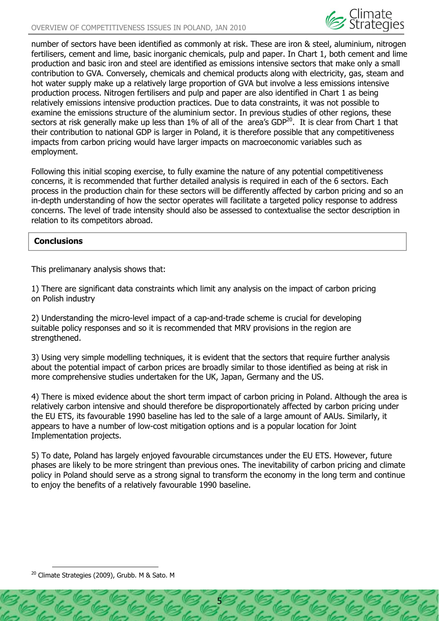

number of sectors have been identified as commonly at risk. These are iron & steel, aluminium, nitrogen fertilisers, cement and lime, basic inorganic chemicals, pulp and paper. In Chart 1, both cement and lime production and basic iron and steel are identified as emissions intensive sectors that make only a small contribution to GVA. Conversely, chemicals and chemical products along with electricity, gas, steam and hot water supply make up a relatively large proportion of GVA but involve a less emissions intensive production process. Nitrogen fertilisers and pulp and paper are also identified in Chart 1 as being relatively emissions intensive production practices. Due to data constraints, it was not possible to examine the emissions structure of the aluminium sector. In previous studies of other regions, these sectors at risk generally make up less than 1% of all of the area's GDP<sup>20</sup>. It is clear from Chart 1 that their contribution to national GDP is larger in Poland, it is therefore possible that any competitiveness impacts from carbon pricing would have larger impacts on macroeconomic variables such as employment.

Following this initial scoping exercise, to fully examine the nature of any potential competitiveness concerns, it is recommended that further detailed analysis is required in each of the 6 sectors. Each process in the production chain for these sectors will be differently affected by carbon pricing and so an in-depth understanding of how the sector operates will facilitate a targeted policy response to address concerns. The level of trade intensity should also be assessed to contextualise the sector description in relation to its competitors abroad.

# **Conclusions**

This prelimanary analysis shows that:

1) There are significant data constraints which limit any analysis on the impact of carbon pricing on Polish industry

2) Understanding the micro-level impact of a cap-and-trade scheme is crucial for developing suitable policy responses and so it is recommended that MRV provisions in the region are strengthened.

3) Using very simple modelling techniques, it is evident that the sectors that require further analysis about the potential impact of carbon prices are broadly similar to those identified as being at risk in more comprehensive studies undertaken for the UK, Japan, Germany and the US.

4) There is mixed evidence about the short term impact of carbon pricing in Poland. Although the area is relatively carbon intensive and should therefore be disproportionately affected by carbon pricing under the EU ETS, its favourable 1990 baseline has led to the sale of a large amount of AAUs. Similarly, it appears to have a number of low-cost mitigation options and is a popular location for Joint Implementation projects.

5) To date, Poland has largely enjoyed favourable circumstances under the EU ETS. However, future phases are likely to be more stringent than previous ones. The inevitability of carbon pricing and climate policy in Poland should serve as a strong signal to transform the economy in the long term and continue to enjoy the benefits of a relatively favourable 1990 baseline.

5

<sup>&</sup>lt;sup>20</sup> Climate Strategies (2009), Grubb. M & Sato. M